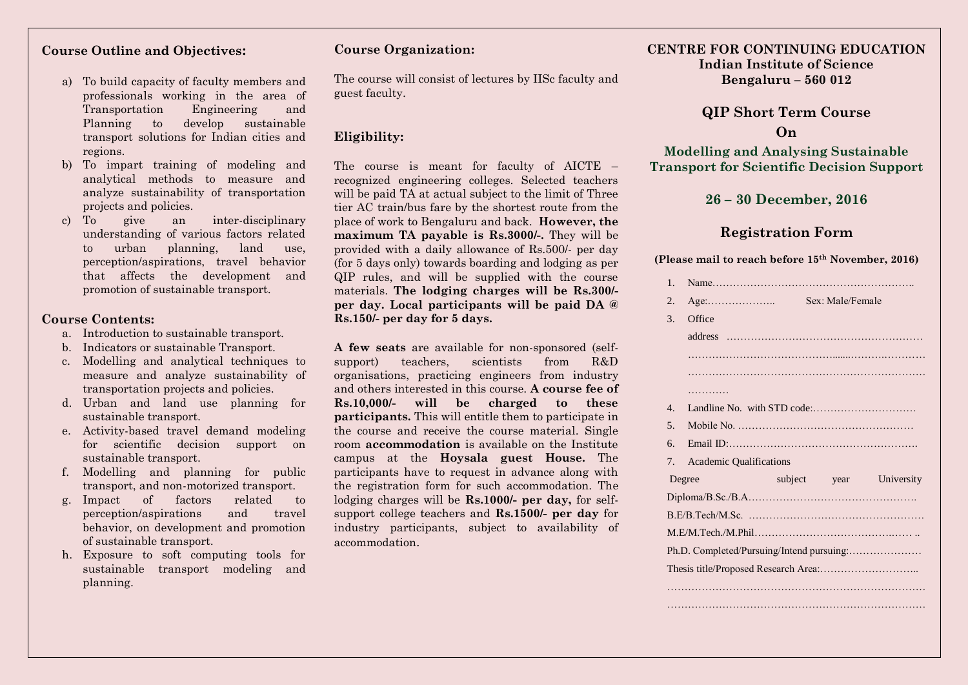### **Course Outline and Objectives:**

- a) To build capacity of faculty members and professionals working in the area of Transportation Engineering and Planning to develop sustainable transport solutions for Indian cities and regions.
- b) To impart training of modeling and analytical methods to measure and analyze sustainability of transportation projects and policies.
- c) To give an inter-disciplinary understanding of various factors related to urban planning, land use, perception/aspirations, travel behavior that affects the development and promotion of sustainable transport.

#### **Course Contents:**

- a. Introduction to sustainable transport.
- b. Indicators or sustainable Transport.
- c. Modelling and analytical techniques to measure and analyze sustainability of transportation projects and policies.
- d. Urban and land use planning for sustainable transport.
- e. Activity-based travel demand modeling for scientific decision support on sustainable transport.
- f. Modelling and planning for public transport, and non-motorized transport.
- g. Impact of factors related to perception/aspirations and travel behavior, on development and promotion of sustainable transport.
- h. Exposure to soft computing tools for sustainable transport modeling and planning.

#### **Course Organization:**

The course will consist of lectures by IISc faculty and guest faculty.

## **Eligibility:**

The course is meant for faculty of AICTE – recognized engineering colleges. Selected teachers will be paid TA at actual subject to the limit of Three tier AC train/bus fare by the shortest route from the place of work to Bengaluru and back. **However, the maximum TA payable is Rs.3000/-.** They will be provided with a daily allowance of Rs.500/- per day (for 5 days only) towards boarding and lodging as per QIP rules, and will be supplied with the course materials. **The lodging charges will be Rs.300/ per day. Local participants will be paid DA @ Rs.150/- per day for 5 days.** 

**A few seats** are available for non-sponsored (selfsupport) teachers, scientists from R&D organisations, practicing engineers from industry and others interested in this course. **A course fee of Rs.10,000/- will be charged to these participants.** This will entitle them to participate in the course and receive the course material. Single room **accommodation** is available on the Institute campus at the **Hoysala guest House.** The participants have to request in advance along with the registration form for such accommodation. The lodging charges will be **Rs.1000/- per day,** for selfsupport college teachers and **Rs.1500/- per day** for industry participants, subject to availability of accommodation.

## **CENTRE FOR CONTINUING EDUCATION Indian Institute of Science Bengaluru – 560 012**

# **QIP Short Term Course On**

**Modelling and Analysing Sustainable Transport for Scientific Decision Support**

# **26 – 30 December, 2016**

# **Registration Form**

**(Please mail to reach before 15th November, 2016)**

| $1_{-}$                          |                                           |                  |                         |
|----------------------------------|-------------------------------------------|------------------|-------------------------|
| 2.                               | $Age: \dots \dots \dots \dots \dots$      | Sex: Male/Female |                         |
| 3.                               | Office                                    |                  |                         |
|                                  |                                           |                  |                         |
|                                  |                                           |                  |                         |
|                                  |                                           |                  |                         |
|                                  |                                           |                  |                         |
| $4_{\cdot}$                      |                                           |                  |                         |
| 5 <sub>1</sub>                   |                                           |                  |                         |
| 6.                               |                                           |                  |                         |
| $7_{\scriptscriptstyle{\ddots}}$ | <b>Academic Qualifications</b>            |                  |                         |
|                                  | Degree                                    |                  | subject year University |
|                                  |                                           |                  |                         |
|                                  |                                           |                  |                         |
|                                  |                                           |                  |                         |
|                                  | Ph.D. Completed/Pursuing/Intend pursuing: |                  |                         |
|                                  |                                           |                  |                         |
|                                  |                                           |                  |                         |
|                                  |                                           |                  |                         |